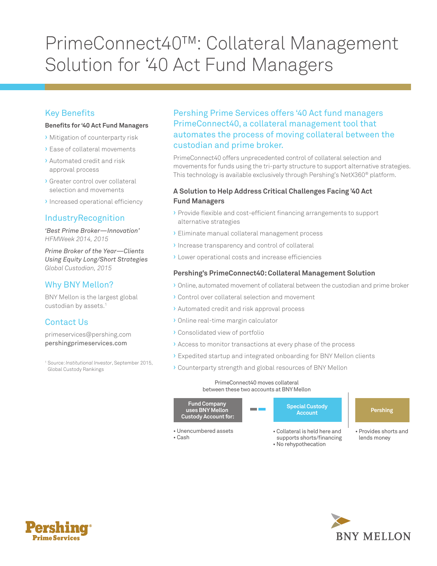# PrimeConnect40™: Collateral Management Solution for '40 Act Fund Managers

# Key Benefits

#### **Benefits for '40 Act Fund Managers**

- › Mitigation of counterparty risk
- › Ease of collateral movements
- › Automated credit and risk approval process
- › Greater control over collateral selection and movements
- › Increased operational efficiency

## IndustryRecognition

*'Best Prime Broker—Innovation' HFMWeek 2014, 2015* 

*Prime Broker of the Year—Clients Using Equity Long/Short Strategies Global Custodian, 2015* 

## Why BNY Mellon?

BNY Mellon is the largest global custodian by assets.<sup>1</sup>

# Contact Us

primeservices@pershing.com pershingprimeservices.com

 1 Source: *Institutional Investor*, September 2015, Global Custody Rankings

## Pershing Prime Services offers '40 Act fund managers PrimeConnect40, a collateral management tool that automates the process of moving collateral between the custodian and prime broker.

PrimeConnect40 offers unprecedented control of collateral selection and movements for funds using the tri-party structure to support alternative strategies. This technology is available exclusively through Pershing's NetX360® platform.

### **A Solution to Help Address Critical Challenges Facing '40 Act Fund Managers**

- › Provide flexible and cost-efficient financing arrangements to support alternative strategies
- › Eliminate manual collateral management process
- › Increase transparency and control of collateral
- › Lower operational costs and increase efficiencies

#### **Pershing's PrimeConnect40: Collateral Management Solution**

- **>** Online, automated movement of collateral between the custodian and prime broker
- › Control over collateral selection and movement
- › Automated credit and risk approval process
- › Online real-time margin calculator
- › Consolidated view of portfolio
- › Access to monitor transactions at every phase of the process
- › Expedited startup and integrated onboarding for BNY Mellon clients
- › Counterparty strength and global resources of BNY Mellon

#### PrimeConnect40 moves collateral between these two accounts at BNY Mellon



- supports shorts/financing • No rehypothecation
-